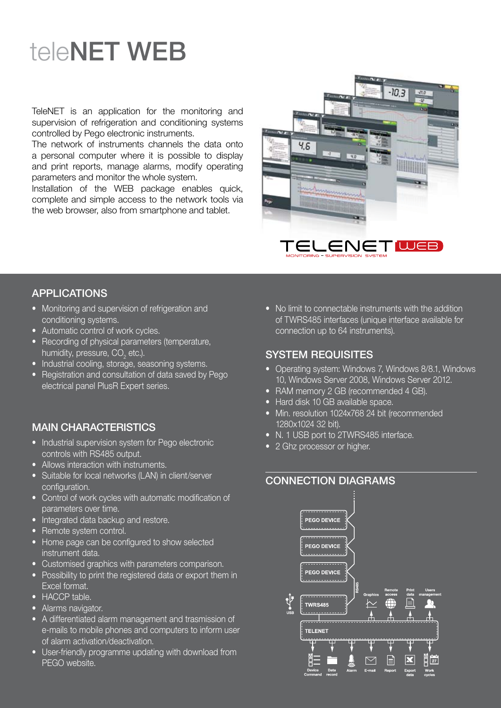# teleNET WEB

TeleNET is an application for the monitoring and supervision of refrigeration and conditioning systems controlled by Pego electronic instruments.

The network of instruments channels the data onto a personal computer where it is possible to display and print reports, manage alarms, modify operating parameters and monitor the whole system.

Installation of the WEb package enables quick, complete and simple access to the network tools via the web browser, also from smartphone and tablet.



#### **APPI ICATIONS**

- Monitoring and supervision of refrigeration and conditioning systems.
- Automatic control of work cycles.
- Recording of physical parameters (temperature, humidity, pressure, CO $_{\textrm{\tiny{2}}}$  etc.).
- Industrial cooling, storage, seasoning systems.
- Registration and consultation of data saved by Pego electrical panel PlusR Expert series.

### MAIN cHARActeRIstIcs

- Industrial supervision system for Pego electronic controls with Rs485 output.
- Allows interaction with instruments.
- Suitable for local networks (LAN) in client/server configuration.
- Control of work cycles with automatic modification of parameters over time.
- Integrated data backup and restore.
- Remote system control.
- Home page can be configured to show selected instrument data.
- Customised graphics with parameters comparison.
- Possibility to print the registered data or export them in Excel format.
- HACCP table.
- Alarms navigator.
- A differentiated alarm management and trasmission of e-mails to mobile phones and computers to inform user of alarm activation/deactivation.
- User-friendly programme updating with download from PEGO website.

• No limit to connectable instruments with the addition of TWRs485 interfaces (unique interface available for connection up to 64 instruments).

#### sYsteM ReQuIsItes

- Operating system: Windows 7, Windows 8/8.1, Windows 10, Windows Server 2008, Windows Server 2012.
- RAM memory 2 GB (recommended 4 GB).
- Hard disk 10 GB available space.
- Min. resolution 1024x768 24 bit (recommended 1280x1024 32 bit).
- N. 1 USB port to 2TWRS485 interface.
- 2 Ghz processor or higher.